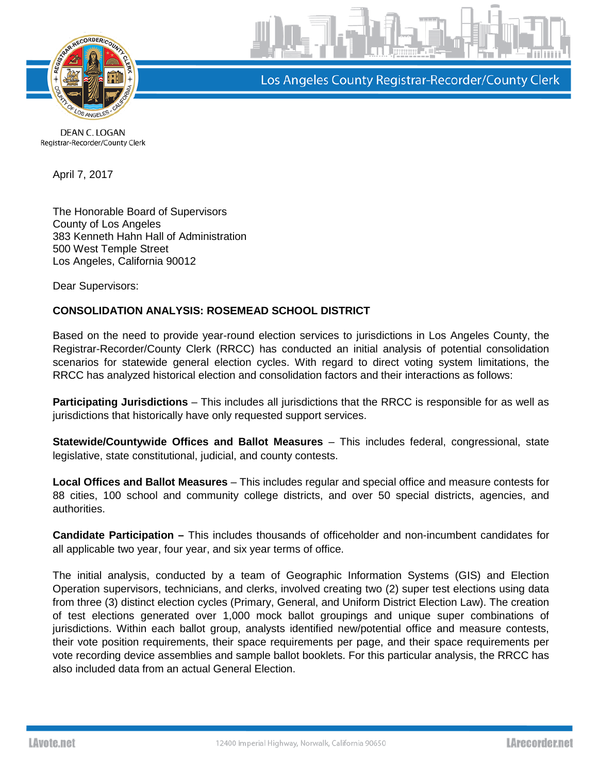

Los Angeles County Registrar-Recorder/County Clerk

DEAN C. LOGAN Registrar-Recorder/County Clerk

April 7, 2017

The Honorable Board of Supervisors County of Los Angeles 383 Kenneth Hahn Hall of Administration 500 West Temple Street Los Angeles, California 90012

Dear Supervisors:

## **CONSOLIDATION ANALYSIS: ROSEMEAD SCHOOL DISTRICT**

Based on the need to provide year-round election services to jurisdictions in Los Angeles County, the Registrar-Recorder/County Clerk (RRCC) has conducted an initial analysis of potential consolidation scenarios for statewide general election cycles. With regard to direct voting system limitations, the RRCC has analyzed historical election and consolidation factors and their interactions as follows:

**Participating Jurisdictions** – This includes all jurisdictions that the RRCC is responsible for as well as jurisdictions that historically have only requested support services.

**Statewide/Countywide Offices and Ballot Measures** – This includes federal, congressional, state legislative, state constitutional, judicial, and county contests.

**Local Offices and Ballot Measures** – This includes regular and special office and measure contests for 88 cities, 100 school and community college districts, and over 50 special districts, agencies, and authorities.

**Candidate Participation –** This includes thousands of officeholder and non-incumbent candidates for all applicable two year, four year, and six year terms of office.

The initial analysis, conducted by a team of Geographic Information Systems (GIS) and Election Operation supervisors, technicians, and clerks, involved creating two (2) super test elections using data from three (3) distinct election cycles (Primary, General, and Uniform District Election Law). The creation of test elections generated over 1,000 mock ballot groupings and unique super combinations of jurisdictions. Within each ballot group, analysts identified new/potential office and measure contests, their vote position requirements, their space requirements per page, and their space requirements per vote recording device assemblies and sample ballot booklets. For this particular analysis, the RRCC has also included data from an actual General Election.